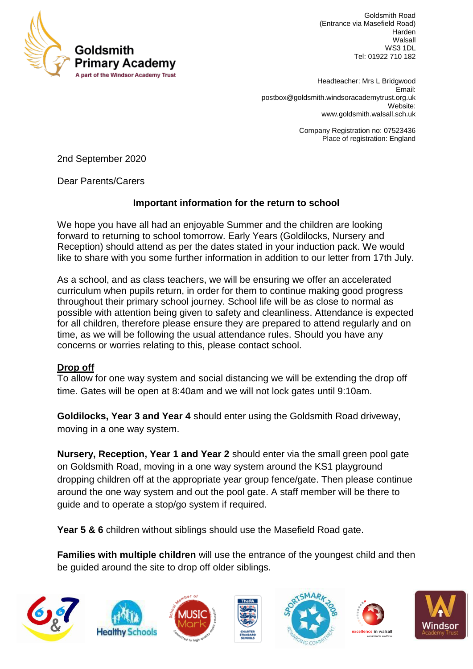

Goldsmith Road (Entrance via Masefield Road) Harden Walsall WS3 1DL Tel: 01922 710 182

 Headteacher: Mrs L Bridgwood Email: [postbox@goldsmith.windsoracademytrust.org.uk](mailto:postbox@goldsmith.windsoracademytrust.org.uk) Website: [www.goldsmith.walsall.sch.uk](http://www.goldsmith.walsall.sch.uk/)

> Company Registration no: 07523436 Place of registration: England

2nd September 2020

Dear Parents/Carers

### **Important information for the return to school**

We hope you have all had an enjoyable Summer and the children are looking forward to returning to school tomorrow. Early Years (Goldilocks, Nursery and Reception) should attend as per the dates stated in your induction pack. We would like to share with you some further information in addition to our letter from 17th July.

As a school, and as class teachers, we will be ensuring we offer an accelerated curriculum when pupils return, in order for them to continue making good progress throughout their primary school journey. School life will be as close to normal as possible with attention being given to safety and cleanliness. Attendance is expected for all children, therefore please ensure they are prepared to attend regularly and on time, as we will be following the usual attendance rules. Should you have any concerns or worries relating to this, please contact school.

#### **Drop off**

To allow for one way system and social distancing we will be extending the drop off time. Gates will be open at 8:40am and we will not lock gates until 9:10am.

**Goldilocks, Year 3 and Year 4** should enter using the Goldsmith Road driveway, moving in a one way system.

**Nursery, Reception, Year 1 and Year 2** should enter via the small green pool gate on Goldsmith Road, moving in a one way system around the KS1 playground dropping children off at the appropriate year group fence/gate. Then please continue around the one way system and out the pool gate. A staff member will be there to guide and to operate a stop/go system if required.

Year 5 & 6 children without siblings should use the Masefield Road gate.

**Families with multiple children** will use the entrance of the youngest child and then be guided around the site to drop off older siblings.













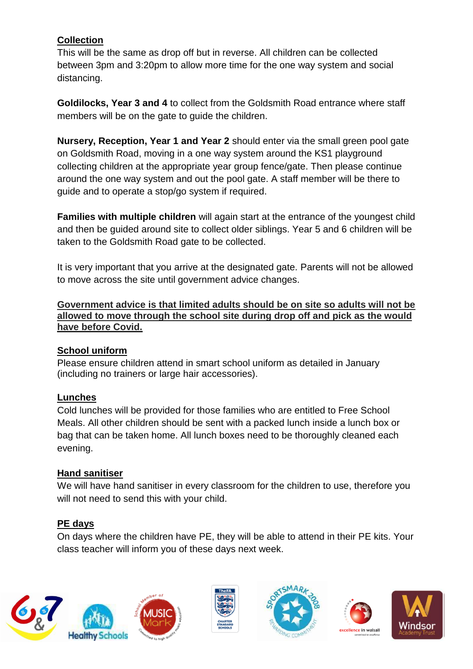# **Collection**

This will be the same as drop off but in reverse. All children can be collected between 3pm and 3:20pm to allow more time for the one way system and social distancing.

**Goldilocks, Year 3 and 4** to collect from the Goldsmith Road entrance where staff members will be on the gate to guide the children.

**Nursery, Reception, Year 1 and Year 2** should enter via the small green pool gate on Goldsmith Road, moving in a one way system around the KS1 playground collecting children at the appropriate year group fence/gate. Then please continue around the one way system and out the pool gate. A staff member will be there to guide and to operate a stop/go system if required.

**Families with multiple children** will again start at the entrance of the youngest child and then be guided around site to collect older siblings. Year 5 and 6 children will be taken to the Goldsmith Road gate to be collected.

It is very important that you arrive at the designated gate. Parents will not be allowed to move across the site until government advice changes.

**Government advice is that limited adults should be on site so adults will not be allowed to move through the school site during drop off and pick as the would have before Covid.**

## **School uniform**

Please ensure children attend in smart school uniform as detailed in January (including no trainers or large hair accessories).

## **Lunches**

Cold lunches will be provided for those families who are entitled to Free School Meals. All other children should be sent with a packed lunch inside a lunch box or bag that can be taken home. All lunch boxes need to be thoroughly cleaned each evening.

#### **Hand sanitiser**

We will have hand sanitiser in every classroom for the children to use, therefore you will not need to send this with your child.

## **PE days**

On days where the children have PE, they will be able to attend in their PE kits. Your class teacher will inform you of these days next week.